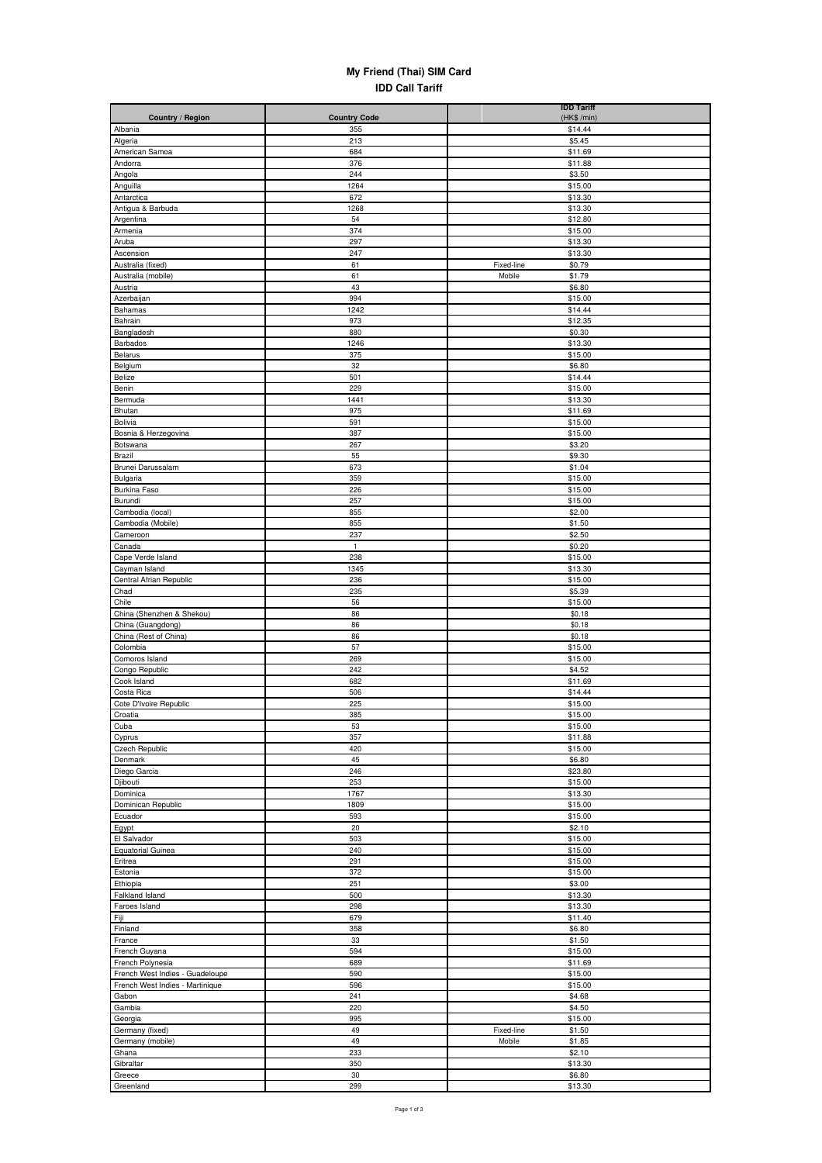## **My Friend (Thai) SIM Card IDD Call Tariff**

| Country / Region                   | <b>Country Code</b> | <b>IDD Tariff</b><br>(HK\$ /min) |
|------------------------------------|---------------------|----------------------------------|
| Albania                            | 355                 | \$14.44                          |
| Algeria                            | 213                 | \$5.45                           |
| American Samoa                     | 684                 | \$11.69                          |
| Andorra                            | 376                 | \$11.88                          |
| Angola                             | 244                 | \$3.50                           |
| Anguilla<br>Antarctica             | 1264<br>672         | \$15.00<br>\$13.30               |
| Antigua & Barbuda                  | 1268                | \$13.30                          |
| Argentina                          | 54                  | \$12.80                          |
| Armenia                            | 374                 | \$15.00                          |
| Aruba                              | 297                 | \$13.30                          |
| Ascension                          | 247                 | \$13.30                          |
| Australia (fixed)                  | 61                  | Fixed-line<br>\$0.79             |
| Australia (mobile)                 | 61                  | Mobile<br>\$1.79                 |
| Austria<br>Azerbaijan              | 43<br>994           | \$6.80<br>\$15.00                |
| Bahamas                            | 1242                | \$14.44                          |
| Bahrain                            | 973                 | \$12.35                          |
| Bangladesh                         | 880                 | \$0.30                           |
| Barbados                           | 1246                | \$13.30                          |
| Belarus                            | 375                 | \$15.00                          |
| Belgium                            | 32                  | \$6.80                           |
| Belize                             | 501                 | \$14.44                          |
| Benin<br>Bermuda                   | 229<br>1441         | \$15.00<br>\$13.30               |
| Bhutan                             | 975                 | \$11.69                          |
| Bolivia                            | 591                 | \$15.00                          |
| Bosnia & Herzegovina               | 387                 | \$15.00                          |
| Botswana                           | 267                 | \$3.20                           |
| Brazil                             | 55                  | \$9.30                           |
| Brunei Darussalam                  | 673                 | \$1.04                           |
| Bulgaria                           | 359                 | \$15.00                          |
| Burkina Faso<br>Burundi            | 226                 | \$15.00                          |
| Cambodia (local)                   | 257<br>855          | \$15.00<br>\$2.00                |
| Cambodia (Mobile)                  | 855                 | \$1.50                           |
| Cameroon                           | 237                 | \$2.50                           |
| Canada                             | $\mathbf{1}$        | \$0.20                           |
| Cape Verde Island                  | 238                 | \$15.00                          |
| Cayman Island                      | 1345                | \$13.30                          |
| Central Afrian Republic            | 236                 | \$15.00                          |
| Chad                               | 235                 | \$5.39                           |
| Chile<br>China (Shenzhen & Shekou) | 56<br>86            | \$15.00                          |
| China (Guangdong)                  | 86                  | \$0.18<br>\$0.18                 |
| China (Rest of China)              | 86                  | \$0.18                           |
| Colombia                           | 57                  | \$15.00                          |
| Comoros Island                     | 269                 | \$15.00                          |
| Congo Republic                     | 242                 | \$4.52                           |
| Cook Island                        | 682                 | \$11.69                          |
| Costa Rica                         | 506                 | \$14.44                          |
| Cote D'Ivoire Republic             | 225                 | \$15.00                          |
| Croatia                            | 385                 | \$15.00<br>\$15.00               |
| Cupa<br>Cyprus                     | 53<br>357           | \$11.88                          |
| <b>Czech Republic</b>              | 420                 | \$15.00                          |
| Denmark                            | 45                  | \$6.80                           |
| Diego Garcia                       | 246                 | \$23.80                          |
| Djibouti                           | 253                 | \$15.00                          |
| Dominica                           | 1767                | \$13.30                          |
| Dominican Republic                 | 1809                | \$15.00                          |
| Ecuador                            | 593                 | \$15.00                          |
| Egypt<br>El Salvador               | 20<br>503           | \$2.10<br>\$15.00                |
| <b>Equatorial Guinea</b>           | 240                 | \$15.00                          |
| Eritrea                            | 291                 | \$15.00                          |
| Estonia                            | 372                 | \$15.00                          |
| Ethiopia                           | 251                 | \$3.00                           |
| Falkland Island                    | 500                 | \$13.30                          |
| Faroes Island                      | 298                 | \$13.30                          |
| Fiji                               | 679                 | \$11.40                          |
| Finland                            | 358                 | \$6.80                           |
| France<br>French Guyana            | $33\,$<br>594       | \$1.50                           |
| French Polynesia                   | 689                 | \$15.00<br>\$11.69               |
| French West Indies - Guadeloupe    | 590                 | \$15.00                          |
| French West Indies - Martinique    | 596                 | \$15.00                          |
| Gabon                              | 241                 | \$4.68                           |
| Gambia                             | 220                 | \$4.50                           |
| Georgia                            | 995                 | \$15.00                          |
| Germany (fixed)                    | 49                  | Fixed-line<br>\$1.50             |
| Germany (mobile)                   | 49                  | Mobile<br>\$1.85                 |
| Ghana<br>Gibraltar                 | 233<br>350          | \$2.10<br>\$13.30                |
| Greece                             | 30                  | \$6.80                           |
| Greenland                          | 299                 | \$13.30                          |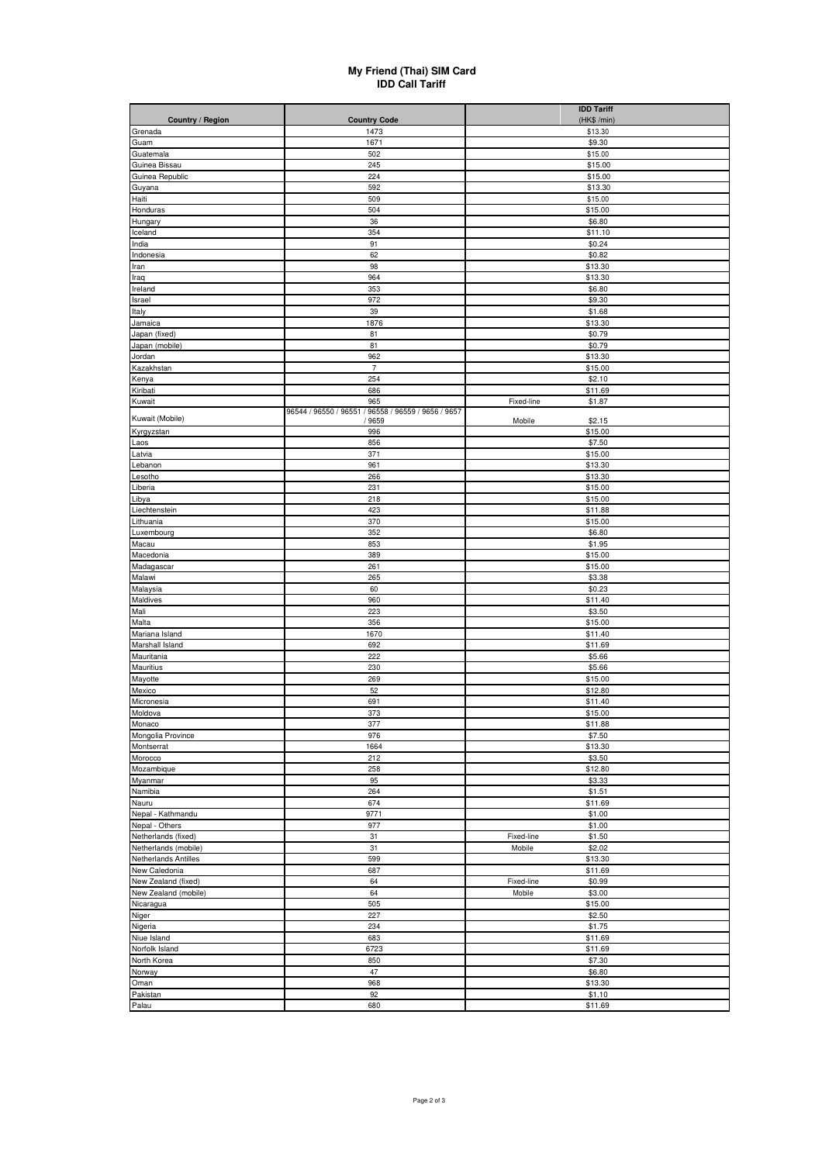## **My Friend (Thai) SIM Card IDD Call Tariff**

|                         |                                                     | <b>IDD Tariff</b>    |
|-------------------------|-----------------------------------------------------|----------------------|
| <b>Country / Region</b> | <b>Country Code</b>                                 | (HK\$ /min)          |
| Grenada<br>Guam         | 1473<br>1671                                        | \$13.30<br>\$9.30    |
| Guatemala               | 502                                                 | \$15.00              |
| Guinea Bissau           | 245                                                 | \$15.00              |
| Guinea Republic         | 224                                                 | \$15.00              |
| Guyana                  | 592                                                 | \$13.30              |
| Haiti                   | 509                                                 | \$15.00              |
| Honduras                | 504                                                 | \$15.00              |
| Hungary                 | 36                                                  | \$6.80               |
| Iceland                 | 354                                                 | \$11.10              |
| India                   | 91<br>62                                            | \$0.24<br>\$0.82     |
| Indonesia<br>Iran       | 98                                                  | \$13.30              |
| Iraq                    | 964                                                 | \$13.30              |
| Ireland                 | 353                                                 | \$6.80               |
| Israel                  | 972                                                 | \$9.30               |
| Italy                   | 39                                                  | \$1.68               |
| Jamaica                 | 1876                                                | \$13.30              |
| Japan (fixed)           | 81                                                  | \$0.79               |
| Japan (mobile)          | 81                                                  | \$0.79               |
| Jordan                  | 962<br>$\overline{7}$                               | \$13.30<br>\$15.00   |
| Kazakhstan<br>Kenya     | 254                                                 | \$2.10               |
| Kiribati                | 686                                                 | \$11.69              |
| Kuwait                  | 965                                                 | \$1.87<br>Fixed-line |
|                         | 96544 / 96550 / 96551 / 96558 / 96559 / 9656 / 9657 |                      |
| Kuwait (Mobile)         | / 9659                                              | Mobile<br>\$2.15     |
| Kyrgyzstan              | 996                                                 | \$15.00              |
| Laos<br>Latvia          | 856<br>371                                          | \$7.50<br>\$15.00    |
| Lebanon                 | 961                                                 | \$13.30              |
| Lesotho                 | 266                                                 | \$13.30              |
| Liberia                 | 231                                                 | \$15.00              |
| Libya                   | 218                                                 | \$15.00              |
| Liechtenstein           | 423                                                 | \$11.88              |
| Lithuania               | 370                                                 | \$15.00              |
| Luxembourg              | 352                                                 | \$6.80               |
| Macau                   | 853                                                 | \$1.95               |
| Macedonia<br>Madagascar | 389<br>261                                          | \$15.00<br>\$15.00   |
| Malawi                  | 265                                                 | \$3.38               |
| Malaysia                | 60                                                  | \$0.23               |
| Maldives                | 960                                                 | \$11.40              |
| Mali                    | 223                                                 | \$3.50               |
| Malta                   | 356                                                 | \$15.00              |
| Mariana Island          | 1670                                                | \$11.40              |
| Marshall Island         | 692                                                 | \$11.69              |
| Mauritania              | 222                                                 | \$5.66               |
| Mauritius<br>Mayotte    | 230<br>269                                          | \$5.66<br>\$15.00    |
| Mexico                  | 52                                                  | \$12.80              |
| Micronesia              | 691                                                 | \$11.40              |
| Moldova                 | 373                                                 | \$15.00              |
| Monaco                  | 377                                                 | \$11.88              |
| Mongolia Province       | 976                                                 | \$7.50               |
| Montserrat              | 1664                                                | \$13.30              |
| Morocco                 | 212                                                 | \$3.50               |
| Mozambique              | 258                                                 | \$12.80              |
| Myanmar                 | 95                                                  | \$3.33               |
| Namibia<br>Nauru        | 264<br>674                                          | \$1.51<br>\$11.69    |
| Nepal - Kathmandu       | 9771                                                | \$1.00               |
| Nepal - Others          | 977                                                 | \$1.00               |
| Netherlands (fixed)     | 31                                                  | Fixed-line<br>\$1.50 |
| Netherlands (mobile)    | 31                                                  | Mobile<br>\$2.02     |
| Netherlands Antilles    | 599                                                 | \$13.30              |
| New Caledonia           | 687                                                 | \$11.69              |
| New Zealand (fixed)     | 64                                                  | Fixed-line<br>\$0.99 |
| New Zealand (mobile)    | 64                                                  | Mobile<br>\$3.00     |
| Nicaragua               | 505                                                 | \$15.00              |
| Niger<br>Nigeria        | 227<br>234                                          | \$2.50<br>\$1.75     |
| Niue Island             | 683                                                 | \$11.69              |
| Norfolk Island          | 6723                                                | \$11.69              |
| North Korea             | 850                                                 | \$7.30               |
| Norway                  | 47                                                  | \$6.80               |
| Oman                    | 968                                                 | \$13.30              |
| Pakistan                | 92                                                  | \$1.10               |
| Palau                   | 680                                                 | \$11.69              |